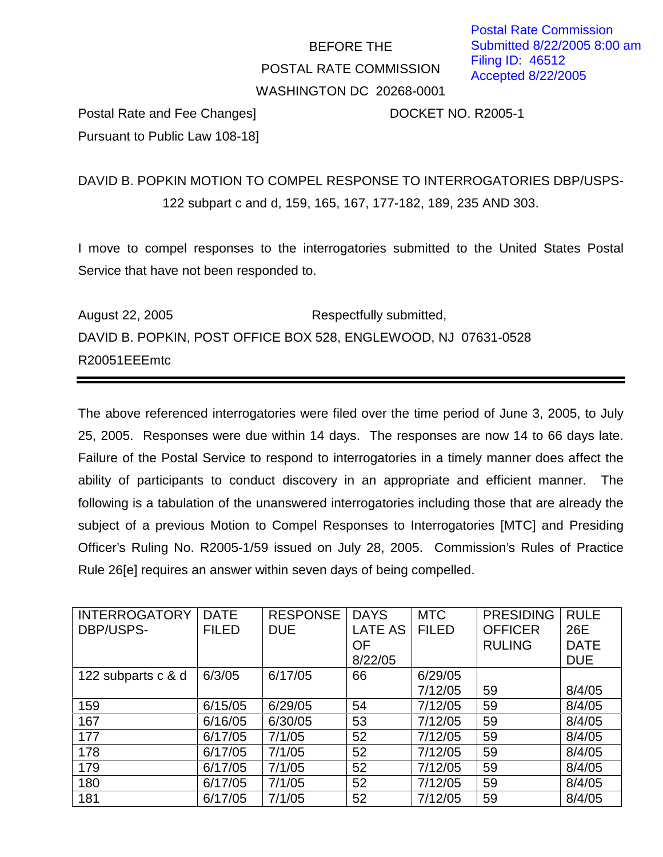## BEFORE THE POSTAL RATE COMMISSION WASHINGTON DC 20268-0001

Postal Rate and Fee Changes] DOCKET NO. R2005-1 Pursuant to Public Law 108-18]

DAVID B. POPKIN MOTION TO COMPEL RESPONSE TO INTERROGATORIES DBP/USPS-122 subpart c and d, 159, 165, 167, 177-182, 189, 235 AND 303.

I move to compel responses to the interrogatories submitted to the United States Postal Service that have not been responded to.

August 22, 2005 Respectfully submitted, DAVID B. POPKIN, POST OFFICE BOX 528, ENGLEWOOD, NJ 07631-0528 R20051EEEmtc

The above referenced interrogatories were filed over the time period of June 3, 2005, to July 25, 2005. Responses were due within 14 days. The responses are now 14 to 66 days late. Failure of the Postal Service to respond to interrogatories in a timely manner does affect the ability of participants to conduct discovery in an appropriate and efficient manner. The following is a tabulation of the unanswered interrogatories including those that are already the subject of a previous Motion to Compel Responses to Interrogatories [MTC] and Presiding Officer's Ruling No. R2005-1/59 issued on July 28, 2005. Commission's Rules of Practice Rule 26[e] requires an answer within seven days of being compelled.

| <b>INTERROGATORY</b> | <b>DATE</b>  | <b>RESPONSE</b> | <b>DAYS</b>    | <b>MTC</b>   | <b>PRESIDING</b> | <b>RULE</b> |
|----------------------|--------------|-----------------|----------------|--------------|------------------|-------------|
| <b>DBP/USPS-</b>     | <b>FILED</b> | <b>DUE</b>      | <b>LATE AS</b> | <b>FILED</b> | <b>OFFICER</b>   | 26E         |
|                      |              |                 | <b>OF</b>      |              | <b>RULING</b>    | <b>DATE</b> |
|                      |              |                 | 8/22/05        |              |                  | <b>DUE</b>  |
| 122 subparts c & d   | 6/3/05       | 6/17/05         | 66             | 6/29/05      |                  |             |
|                      |              |                 |                | 7/12/05      | 59               | 8/4/05      |
| 159                  | 6/15/05      | 6/29/05         | 54             | 7/12/05      | 59               | 8/4/05      |
| 167                  | 6/16/05      | 6/30/05         | 53             | 7/12/05      | 59               | 8/4/05      |
| 177                  | 6/17/05      | 7/1/05          | 52             | 7/12/05      | 59               | 8/4/05      |
| 178                  | 6/17/05      | 7/1/05          | 52             | 7/12/05      | 59               | 8/4/05      |
| 179                  | 6/17/05      | 7/1/05          | 52             | 7/12/05      | 59               | 8/4/05      |
| 180                  | 6/17/05      | 7/1/05          | 52             | 7/12/05      | 59               | 8/4/05      |
| 181                  | 6/17/05      | 7/1/05          | 52             | 7/12/05      | 59               | 8/4/05      |